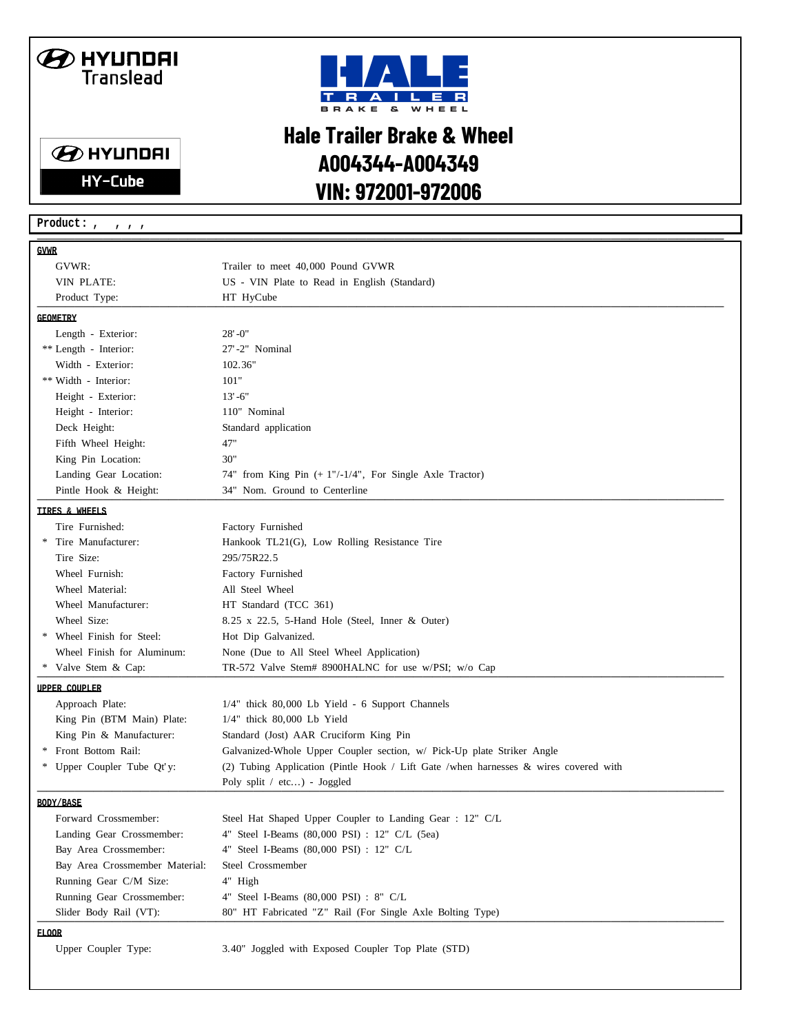## **B** HYUNDAI Translead

**B** HYUNDAI

**HY-Cube** 



## **Hale Trailer Brake & Wheel A004344-A004349 VIN: 972001-972006**

\_\_\_\_\_\_\_\_\_\_\_\_\_\_\_\_\_\_\_\_\_\_\_\_\_\_\_\_\_\_\_\_\_\_\_\_\_\_\_\_\_\_\_\_\_\_\_\_\_\_\_\_\_\_\_\_\_\_\_\_\_\_\_\_\_\_\_\_\_\_\_\_\_ **GVWR** GVWR: Trailer to meet 40,000 Pound GVWR VIN PLATE: US - VIN Plate to Read in English (Standard) Product Type: **HT HyCube HT HyCube HT Here HT HyCube Letters H**<sub>1</sub> **GEOMETRY** Length - Exterior: 28'-0" \*\* Length - Interior: 27'-2" Nominal Width - Exterior: 102.36" \*\* Width - Interior: 101" Height - Exterior: 13'-6" Height - Interior: 110" Nominal Deck Height: Standard application Fifth Wheel Height: 47" King Pin Location: 30" Landing Gear Location: 74" from King Pin (+ 1"/-1/4", For Single Axle Tractor) Pintle Hook & Height: 34" Nom. Ground to Centerline **TIRES & WHEELS** Tire Furnished: Factory Furnished \* Tire Manufacturer: Hankook TL21(G), Low Rolling Resistance Tire Tire Size: 295/75R22.5 Wheel Furnish: Factory Furnished Wheel Material: All Steel Wheel Wheel Manufacturer: HT Standard (TCC 361) Wheel Size: 8.25 x 22.5, 5-Hand Hole (Steel, Inner & Outer) \* Wheel Finish for Steel: Hot Dip Galvanized. Wheel Finish for Aluminum: None (Due to All Steel Wheel Application) \* Valve Stem & Cap: TR-572 Valve Stem# 8900HALNC for use w/PSI; w/o Cap  $\blacksquare$ **UPPER COUPLER** Approach Plate: 1/4" thick 80,000 Lb Yield - 6 Support Channels King Pin (BTM Main) Plate: 1/4" thick 80,000 Lb Yield King Pin & Manufacturer: Standard (Jost) AAR Cruciform King Pin \* Front Bottom Rail: Galvanized-Whole Upper Coupler section, w/ Pick-Up plate Striker Angle \* Upper Coupler Tube Qt'y: (2) Tubing Application (Pintle Hook / Lift Gate /when harnesses & wires covered with \_\_\_\_\_\_\_\_\_\_\_\_\_\_\_\_\_\_\_\_\_\_\_\_\_\_\_\_\_\_\_ Poly split / etc...) - Joggled \_\_\_\_\_\_\_\_\_\_\_\_\_\_\_\_\_\_\_\_\_\_\_\_\_\_\_\_\_\_\_ \_\_\_\_\_\_\_\_\_\_\_ **BODY/BASE** Forward Crossmember: Steel Hat Shaped Upper Coupler to Landing Gear : 12" C/L Landing Gear Crossmember: 4" Steel I-Beams (80,000 PSI) : 12" C/L (5ea) Bay Area Crossmember: 4" Steel I-Beams (80,000 PSI) : 12" C/L Bay Area Crossmember Material: Steel Crossmember Running Gear C/M Size: 4" High Running Gear Crossmember: 4" Steel I-Beams (80,000 PSI) : 8" C/L Slider Body Rail (VT): 80" HT Fabricated "Z" Rail (For Single Axle Bolting Type) **FLOOR** Upper Coupler Type: 3.40" Joggled with Exposed Coupler Top Plate (STD) **Product: , , , ,**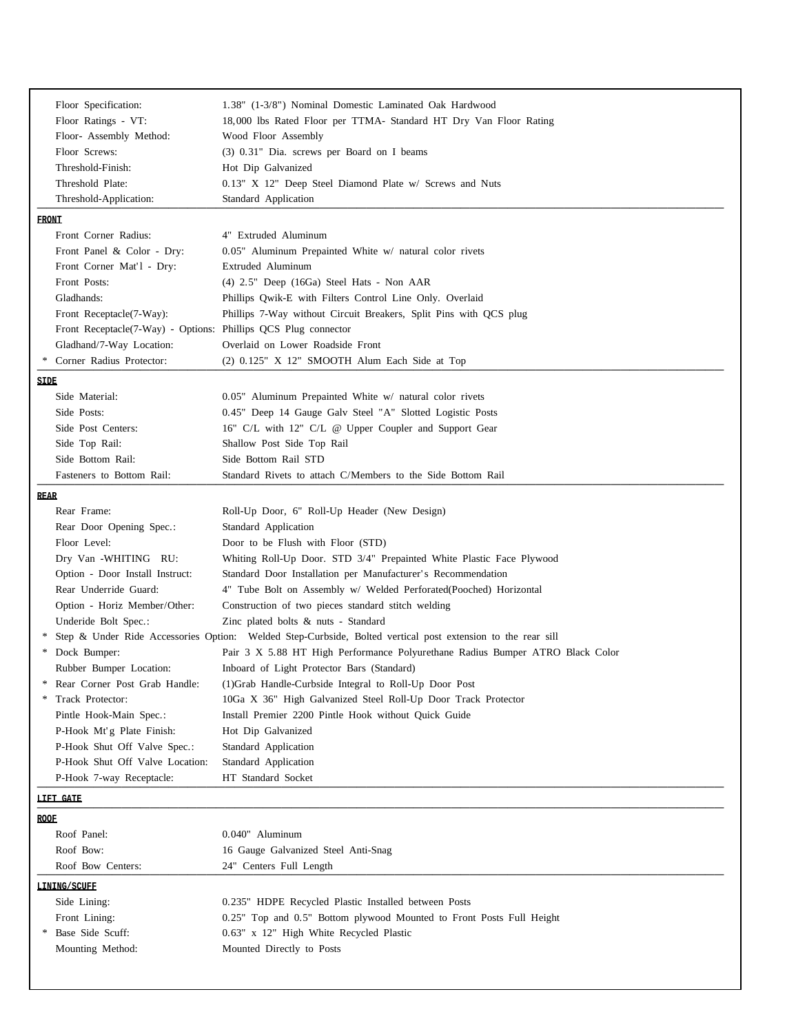| Floor Specification:                           | 1.38" (1-3/8") Nominal Domestic Laminated Oak Hardwood                                                      |  |  |
|------------------------------------------------|-------------------------------------------------------------------------------------------------------------|--|--|
| Floor Ratings - VT:<br>Floor- Assembly Method: | 18,000 lbs Rated Floor per TTMA- Standard HT Dry Van Floor Rating                                           |  |  |
| Floor Screws:                                  | Wood Floor Assembly<br>(3) 0.31" Dia. screws per Board on I beams                                           |  |  |
| Threshold-Finish:                              |                                                                                                             |  |  |
| Threshold Plate:                               | Hot Dip Galvanized<br>0.13" X 12" Deep Steel Diamond Plate w/ Screws and Nuts                               |  |  |
| Threshold-Application:                         | Standard Application                                                                                        |  |  |
|                                                |                                                                                                             |  |  |
| <b>FRONT</b>                                   |                                                                                                             |  |  |
| Front Corner Radius:                           | 4" Extruded Aluminum                                                                                        |  |  |
| Front Panel & Color - Dry:                     | 0.05" Aluminum Prepainted White w/ natural color rivets                                                     |  |  |
| Front Corner Mat'l - Dry:                      | Extruded Aluminum                                                                                           |  |  |
| Front Posts:                                   | (4) 2.5" Deep (16Ga) Steel Hats - Non AAR                                                                   |  |  |
| Gladhands:                                     | Phillips Qwik-E with Filters Control Line Only. Overlaid                                                    |  |  |
| Front Receptacle(7-Way):                       | Phillips 7-Way without Circuit Breakers, Split Pins with QCS plug                                           |  |  |
|                                                | Front Receptacle(7-Way) - Options: Phillips QCS Plug connector                                              |  |  |
| Gladhand/7-Way Location:                       | Overlaid on Lower Roadside Front                                                                            |  |  |
| Corner Radius Protector:                       | (2) 0.125" X 12" SMOOTH Alum Each Side at Top                                                               |  |  |
| SIDE                                           |                                                                                                             |  |  |
| Side Material:                                 | $0.05$ " Aluminum Prepainted White $w/$ natural color rivets                                                |  |  |
| Side Posts:                                    | 0.45" Deep 14 Gauge Galv Steel "A" Slotted Logistic Posts                                                   |  |  |
| Side Post Centers:                             | 16" C/L with 12" C/L @ Upper Coupler and Support Gear                                                       |  |  |
| Side Top Rail:                                 | Shallow Post Side Top Rail                                                                                  |  |  |
| Side Bottom Rail:                              | Side Bottom Rail STD                                                                                        |  |  |
| Fasteners to Bottom Rail:                      | Standard Rivets to attach C/Members to the Side Bottom Rail                                                 |  |  |
| <b>REAR</b>                                    |                                                                                                             |  |  |
| Rear Frame:                                    | Roll-Up Door, 6" Roll-Up Header (New Design)                                                                |  |  |
| Rear Door Opening Spec.:                       | Standard Application                                                                                        |  |  |
| Floor Level:                                   | Door to be Flush with Floor (STD)                                                                           |  |  |
| Dry Van -WHITING RU:                           | Whiting Roll-Up Door. STD 3/4" Prepainted White Plastic Face Plywood                                        |  |  |
| Option - Door Install Instruct:                | Standard Door Installation per Manufacturer's Recommendation                                                |  |  |
| Rear Underride Guard:                          | 4" Tube Bolt on Assembly w/ Welded Perforated(Pooched) Horizontal                                           |  |  |
| Option - Horiz Member/Other:                   | Construction of two pieces standard stitch welding                                                          |  |  |
| Underide Bolt Spec.:                           | Zinc plated bolts $\&$ nuts - Standard                                                                      |  |  |
|                                                | Step & Under Ride Accessories Option: Welded Step-Curbside, Bolted vertical post extension to the rear sill |  |  |
| Dock Bumper:                                   | Pair 3 X 5.88 HT High Performance Polyurethane Radius Bumper ATRO Black Color                               |  |  |
| Rubber Bumper Location:                        | Inboard of Light Protector Bars (Standard)                                                                  |  |  |
| Rear Corner Post Grab Handle:                  | (1) Grab Handle-Curbside Integral to Roll-Up Door Post                                                      |  |  |
| Track Protector:                               | 10Ga X 36" High Galvanized Steel Roll-Up Door Track Protector                                               |  |  |
| Pintle Hook-Main Spec.:                        | Install Premier 2200 Pintle Hook without Quick Guide                                                        |  |  |
| P-Hook Mt'g Plate Finish:                      | Hot Dip Galvanized                                                                                          |  |  |
| P-Hook Shut Off Valve Spec.:                   | Standard Application                                                                                        |  |  |
| P-Hook Shut Off Valve Location:                | Standard Application                                                                                        |  |  |
| P-Hook 7-way Receptacle:                       | HT Standard Socket                                                                                          |  |  |
|                                                |                                                                                                             |  |  |
|                                                | <b>LIFT CATE</b>                                                                                            |  |  |
| ROOF                                           |                                                                                                             |  |  |
| Roof Panel:                                    | 0.040" Aluminum                                                                                             |  |  |
| Roof Bow:                                      | 16 Gauge Galvanized Steel Anti-Snag                                                                         |  |  |
| Roof Bow Centers:                              | 24" Centers Full Length                                                                                     |  |  |
| <b>LINING/SCHEF</b>                            |                                                                                                             |  |  |
| Side Lining:                                   | 0.235" HDPE Recycled Plastic Installed between Posts                                                        |  |  |
| Front Lining:                                  | 0.25" Top and 0.5" Bottom plywood Mounted to Front Posts Full Height                                        |  |  |
| Base Side Scuff:                               | 0.63" x 12" High White Recycled Plastic                                                                     |  |  |
| Mounting Method:                               | Mounted Directly to Posts                                                                                   |  |  |
|                                                |                                                                                                             |  |  |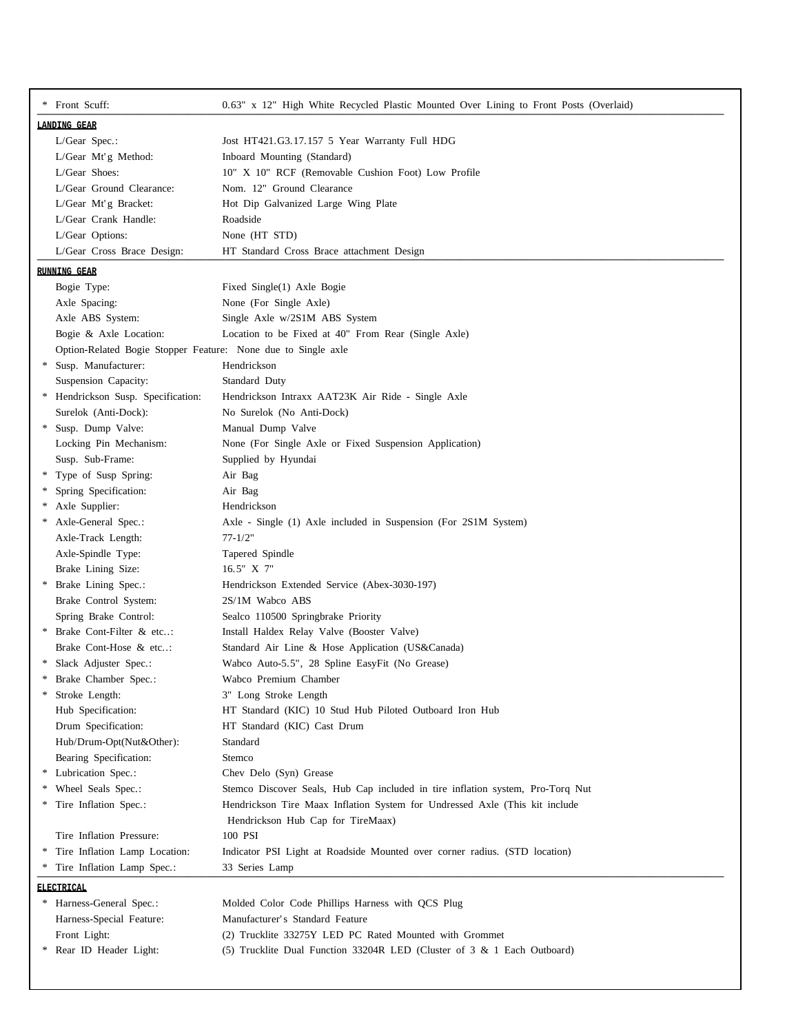|                     | * Front Scuff:                                                | 0.63" x 12" High White Recycled Plastic Mounted Over Lining to Front Posts (Overlaid) |  |  |  |
|---------------------|---------------------------------------------------------------|---------------------------------------------------------------------------------------|--|--|--|
| <b>LANDING GEAR</b> |                                                               |                                                                                       |  |  |  |
|                     | $L/Gear$ Spec.:                                               | Jost HT421.G3.17.157 5 Year Warranty Full HDG                                         |  |  |  |
|                     | L/Gear Mt'g Method:                                           | Inboard Mounting (Standard)                                                           |  |  |  |
|                     | L/Gear Shoes:                                                 | 10" X 10" RCF (Removable Cushion Foot) Low Profile                                    |  |  |  |
|                     | L/Gear Ground Clearance:                                      | Nom. 12" Ground Clearance                                                             |  |  |  |
|                     | L/Gear Mt'g Bracket:                                          | Hot Dip Galvanized Large Wing Plate                                                   |  |  |  |
|                     | L/Gear Crank Handle:                                          | Roadside                                                                              |  |  |  |
|                     | L/Gear Options:                                               | None (HT STD)                                                                         |  |  |  |
|                     | L/Gear Cross Brace Design:                                    | HT Standard Cross Brace attachment Design                                             |  |  |  |
|                     | RUNNING GEAR                                                  |                                                                                       |  |  |  |
|                     | Bogie Type:                                                   | Fixed Single(1) Axle Bogie                                                            |  |  |  |
|                     | Axle Spacing:                                                 | None (For Single Axle)                                                                |  |  |  |
|                     | Axle ABS System:                                              | Single Axle w/2S1M ABS System                                                         |  |  |  |
|                     | Bogie & Axle Location:                                        | Location to be Fixed at 40" From Rear (Single Axle)                                   |  |  |  |
|                     | Option-Related Bogie Stopper Feature: None due to Single axle |                                                                                       |  |  |  |
| *                   | Susp. Manufacturer:                                           | Hendrickson                                                                           |  |  |  |
|                     | Suspension Capacity:                                          | Standard Duty                                                                         |  |  |  |
|                     | * Hendrickson Susp. Specification:                            | Hendrickson Intraxx AAT23K Air Ride - Single Axle                                     |  |  |  |
|                     | Surelok (Anti-Dock):                                          | No Surelok (No Anti-Dock)                                                             |  |  |  |
| *                   | Susp. Dump Valve:                                             | Manual Dump Valve                                                                     |  |  |  |
|                     | Locking Pin Mechanism:                                        | None (For Single Axle or Fixed Suspension Application)                                |  |  |  |
|                     | Susp. Sub-Frame:                                              | Supplied by Hyundai                                                                   |  |  |  |
|                     | * Type of Susp Spring:                                        | Air Bag                                                                               |  |  |  |
| ∗                   | Spring Specification:                                         | Air Bag                                                                               |  |  |  |
|                     | Axle Supplier:                                                | Hendrickson                                                                           |  |  |  |
|                     | Axle-General Spec.:                                           | Axle - Single (1) Axle included in Suspension (For 2S1M System)                       |  |  |  |
|                     | Axle-Track Length:                                            | $77 - 1/2"$                                                                           |  |  |  |
|                     | Axle-Spindle Type:                                            | Tapered Spindle                                                                       |  |  |  |
|                     | Brake Lining Size:                                            | 16.5" X 7"                                                                            |  |  |  |
| ∗                   | Brake Lining Spec.:                                           | Hendrickson Extended Service (Abex-3030-197)                                          |  |  |  |
|                     | Brake Control System:                                         | 2S/1M Wabco ABS                                                                       |  |  |  |
|                     | Spring Brake Control:                                         | Sealco 110500 Springbrake Priority                                                    |  |  |  |
| $*$                 | Brake Cont-Filter & etc:                                      | Install Haldex Relay Valve (Booster Valve)                                            |  |  |  |
|                     | Brake Cont-Hose & etc:                                        | Standard Air Line & Hose Application (US&Canada)                                      |  |  |  |
| *                   | Slack Adjuster Spec.:                                         | Wabco Auto-5.5", 28 Spline EasyFit (No Grease)                                        |  |  |  |
|                     | Brake Chamber Spec.:                                          | Wabco Premium Chamber                                                                 |  |  |  |
| ∗                   | Stroke Length:                                                | 3" Long Stroke Length                                                                 |  |  |  |
|                     | Hub Specification:                                            | HT Standard (KIC) 10 Stud Hub Piloted Outboard Iron Hub                               |  |  |  |
|                     | Drum Specification:                                           | HT Standard (KIC) Cast Drum                                                           |  |  |  |
|                     | Hub/Drum-Opt(Nut&Other):                                      | Standard                                                                              |  |  |  |
|                     | Bearing Specification:                                        | Stemco                                                                                |  |  |  |
| *                   | Lubrication Spec.:                                            | Chev Delo (Syn) Grease                                                                |  |  |  |
| ∗                   | Wheel Seals Spec.:                                            | Stemco Discover Seals, Hub Cap included in tire inflation system, Pro-Torq Nut        |  |  |  |
| ∗                   | Tire Inflation Spec.:                                         | Hendrickson Tire Maax Inflation System for Undressed Axle (This kit include           |  |  |  |
|                     |                                                               | Hendrickson Hub Cap for TireMaax)                                                     |  |  |  |
|                     | Tire Inflation Pressure:                                      | 100 PSI                                                                               |  |  |  |
| ∗                   | Tire Inflation Lamp Location:                                 | Indicator PSI Light at Roadside Mounted over corner radius. (STD location)            |  |  |  |
|                     | Tire Inflation Lamp Spec.:                                    | 33 Series Lamp                                                                        |  |  |  |
|                     | ELECTRICAL                                                    |                                                                                       |  |  |  |
|                     | * Harness-General Spec.:                                      | Molded Color Code Phillips Harness with QCS Plug                                      |  |  |  |
|                     | Harness-Special Feature:                                      | Manufacturer's Standard Feature                                                       |  |  |  |
|                     | Front Light:                                                  | (2) Trucklite 33275Y LED PC Rated Mounted with Grommet                                |  |  |  |
| *                   | Rear ID Header Light:                                         | (5) Trucklite Dual Function 33204R LED (Cluster of 3 & 1 Each Outboard)               |  |  |  |
|                     |                                                               |                                                                                       |  |  |  |